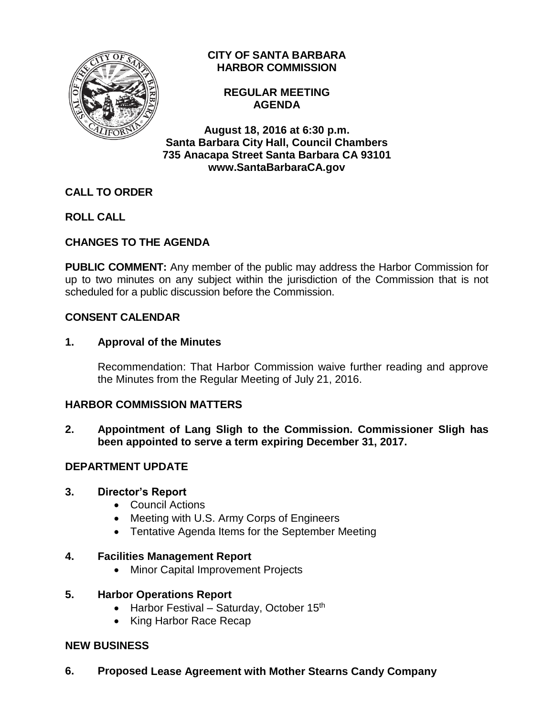

### **CITY OF SANTA BARBARA HARBOR COMMISSION**

**REGULAR MEETING AGENDA**

**August 18, 2016 at 6:30 p.m. Santa Barbara City Hall, Council Chambers 735 Anacapa Street Santa Barbara CA 93101 www.SantaBarbaraCA.gov**

# **CALL TO ORDER**

**ROLL CALL**

# **CHANGES TO THE AGENDA**

**PUBLIC COMMENT:** Any member of the public may address the Harbor Commission for up to two minutes on any subject within the jurisdiction of the Commission that is not scheduled for a public discussion before the Commission.

### **CONSENT CALENDAR**

### **1. Approval of the Minutes**

Recommendation: That Harbor Commission waive further reading and approve the Minutes from the Regular Meeting of July 21, 2016.

### **HARBOR COMMISSION MATTERS**

**2. Appointment of Lang Sligh to the Commission. Commissioner Sligh has been appointed to serve a term expiring December 31, 2017.**

### **DEPARTMENT UPDATE**

### **3. Director's Report**

- Council Actions
- Meeting with U.S. Army Corps of Engineers
- Tentative Agenda Items for the September Meeting

### **4. Facilities Management Report**

• Minor Capital Improvement Projects

### **5. Harbor Operations Report**

- Harbor Festival Saturday, October 15<sup>th</sup>
- King Harbor Race Recap

### **NEW BUSINESS**

**6. Proposed Lease Agreement with Mother Stearns Candy Company**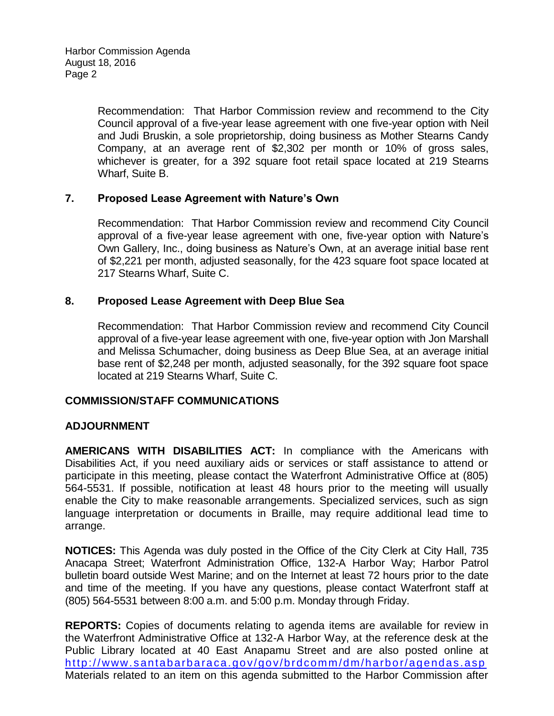Recommendation: That Harbor Commission review and recommend to the City Council approval of a five-year lease agreement with one five-year option with Neil and Judi Bruskin, a sole proprietorship, doing business as Mother Stearns Candy Company, at an average rent of \$2,302 per month or 10% of gross sales, whichever is greater, for a 392 square foot retail space located at 219 Stearns Wharf, Suite B.

### **7. Proposed Lease Agreement with Nature's Own**

Recommendation: That Harbor Commission review and recommend City Council approval of a five-year lease agreement with one, five-year option with Nature's Own Gallery, Inc., doing business as Nature's Own, at an average initial base rent of \$2,221 per month, adjusted seasonally, for the 423 square foot space located at 217 Stearns Wharf, Suite C.

### **8. Proposed Lease Agreement with Deep Blue Sea**

Recommendation:That Harbor Commission review and recommend City Council approval of a five-year lease agreement with one, five-year option with Jon Marshall and Melissa Schumacher, doing business as Deep Blue Sea, at an average initial base rent of \$2,248 per month, adjusted seasonally, for the 392 square foot space located at 219 Stearns Wharf, Suite C.

### **COMMISSION/STAFF COMMUNICATIONS**

#### **ADJOURNMENT**

**AMERICANS WITH DISABILITIES ACT:** In compliance with the Americans with Disabilities Act, if you need auxiliary aids or services or staff assistance to attend or participate in this meeting, please contact the Waterfront Administrative Office at (805) 564-5531. If possible, notification at least 48 hours prior to the meeting will usually enable the City to make reasonable arrangements. Specialized services, such as sign language interpretation or documents in Braille, may require additional lead time to arrange.

**NOTICES:** This Agenda was duly posted in the Office of the City Clerk at City Hall, 735 Anacapa Street; Waterfront Administration Office, 132-A Harbor Way; Harbor Patrol bulletin board outside West Marine; and on the Internet at least 72 hours prior to the date and time of the meeting. If you have any questions, please contact Waterfront staff at (805) 564-5531 between 8:00 a.m. and 5:00 p.m. Monday through Friday.

**REPORTS:** Copies of documents relating to agenda items are available for review in the Waterfront Administrative Office at 132-A Harbor Way, at the reference desk at the Public Library located at 40 East Anapamu Street and are also posted online at <http://www.santabarbaraca.gov/gov/brdcomm/dm/harbor/agendas.asp> Materials related to an item on this agenda submitted to the Harbor Commission after